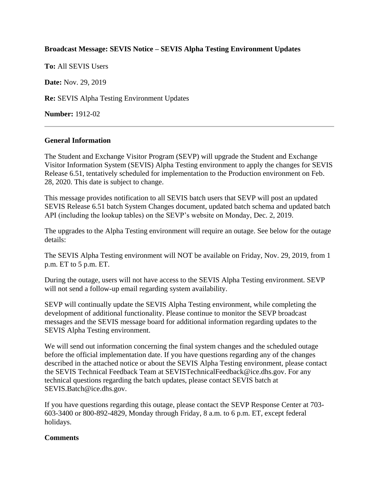## **Broadcast Message: SEVIS Notice – SEVIS Alpha Testing Environment Updates**

**To:** All SEVIS Users

**Date:** Nov. 29, 2019

**Re:** SEVIS Alpha Testing Environment Updates

**Number:** 1912-02

## **General Information**

The Student and Exchange Visitor Program (SEVP) will upgrade the Student and Exchange Visitor Information System (SEVIS) Alpha Testing environment to apply the changes for SEVIS Release 6.51, tentatively scheduled for implementation to the Production environment on Feb. 28, 2020. This date is subject to change.

This message provides notification to all SEVIS batch users that SEVP will post an updated SEVIS Release 6.51 batch System Changes document, updated batch schema and updated batch API (including the lookup tables) on the SEVP's website on Monday, Dec. 2, 2019.

The upgrades to the Alpha Testing environment will require an outage. See below for the outage details:

The SEVIS Alpha Testing environment will NOT be available on Friday, Nov. 29, 2019, from 1 p.m. ET to 5 p.m. ET.

During the outage, users will not have access to the SEVIS Alpha Testing environment. SEVP will not send a follow-up email regarding system availability.

SEVP will continually update the SEVIS Alpha Testing environment, while completing the development of additional functionality. Please continue to monitor the SEVP broadcast messages and the SEVIS message board for additional information regarding updates to the SEVIS Alpha Testing environment.

We will send out information concerning the final system changes and the scheduled outage before the official implementation date. If you have questions regarding any of the changes described in the attached notice or about the SEVIS Alpha Testing environment, please contact the SEVIS Technical Feedback Team at SEVISTechnicalFeedback@ice.dhs.gov. For any technical questions regarding the batch updates, please contact SEVIS batch at SEVIS.Batch@ice.dhs.gov.

If you have questions regarding this outage, please contact the SEVP Response Center at 703- 603-3400 or 800-892-4829, Monday through Friday, 8 a.m. to 6 p.m. ET, except federal holidays.

## **Comments**